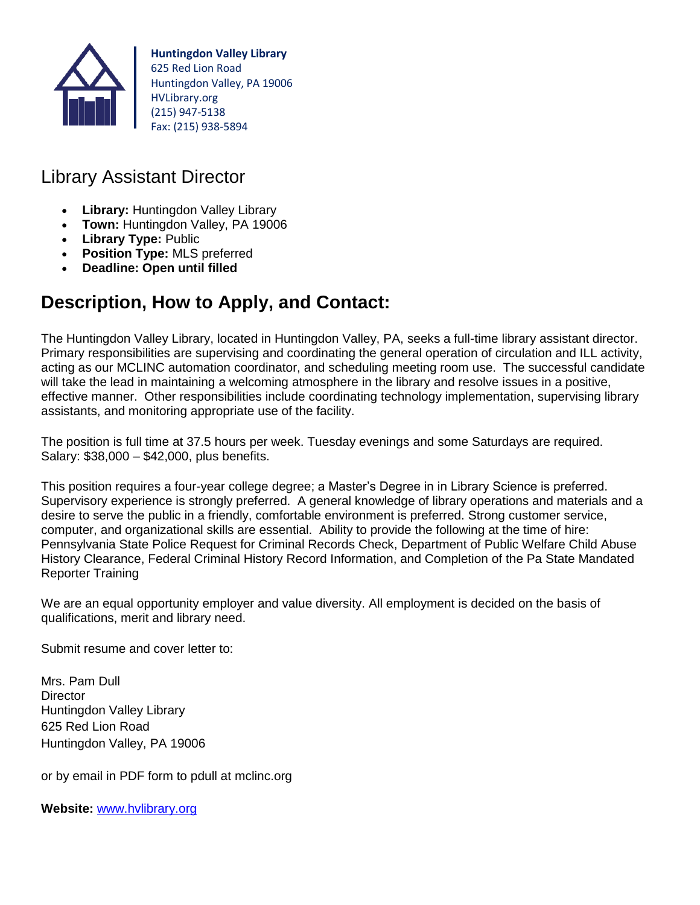

**Huntingdon Valley Library** 625 Red Lion Road Huntingdon Valley, PA 19006 HVLibrary.org (215) 947-5138 Fax: (215) 938-5894

## Library Assistant Director

- **Library:** Huntingdon Valley Library
- **Town:** Huntingdon Valley, PA 19006
- **Library Type:** Public
- **Position Type:** MLS preferred
- **Deadline: Open until filled**

# **Description, How to Apply, and Contact:**

The Huntingdon Valley Library, located in Huntingdon Valley, PA, seeks a full-time library assistant director. Primary responsibilities are supervising and coordinating the general operation of circulation and ILL activity, acting as our MCLINC automation coordinator, and scheduling meeting room use. The successful candidate will take the lead in maintaining a welcoming atmosphere in the library and resolve issues in a positive, effective manner. Other responsibilities include coordinating technology implementation, supervising library assistants, and monitoring appropriate use of the facility.

The position is full time at 37.5 hours per week. Tuesday evenings and some Saturdays are required. Salary: \$38,000 – \$42,000, plus benefits.

This position requires a four-year college degree; a Master's Degree in in Library Science is preferred. Supervisory experience is strongly preferred. A general knowledge of library operations and materials and a desire to serve the public in a friendly, comfortable environment is preferred. Strong customer service, computer, and organizational skills are essential. Ability to provide the following at the time of hire: Pennsylvania State Police Request for Criminal Records Check, Department of Public Welfare Child Abuse History Clearance, Federal Criminal History Record Information, and Completion of the Pa State Mandated Reporter Training

We are an equal opportunity employer and value diversity. All employment is decided on the basis of qualifications, merit and library need.

Submit resume and cover letter to:

Mrs. Pam Dull **Director** Huntingdon Valley Library 625 Red Lion Road Huntingdon Valley, PA 19006

or by email in PDF form to pdull at mclinc.org

**Website:** [www.hvlibrary.org](http://www.hvlibrary.org/)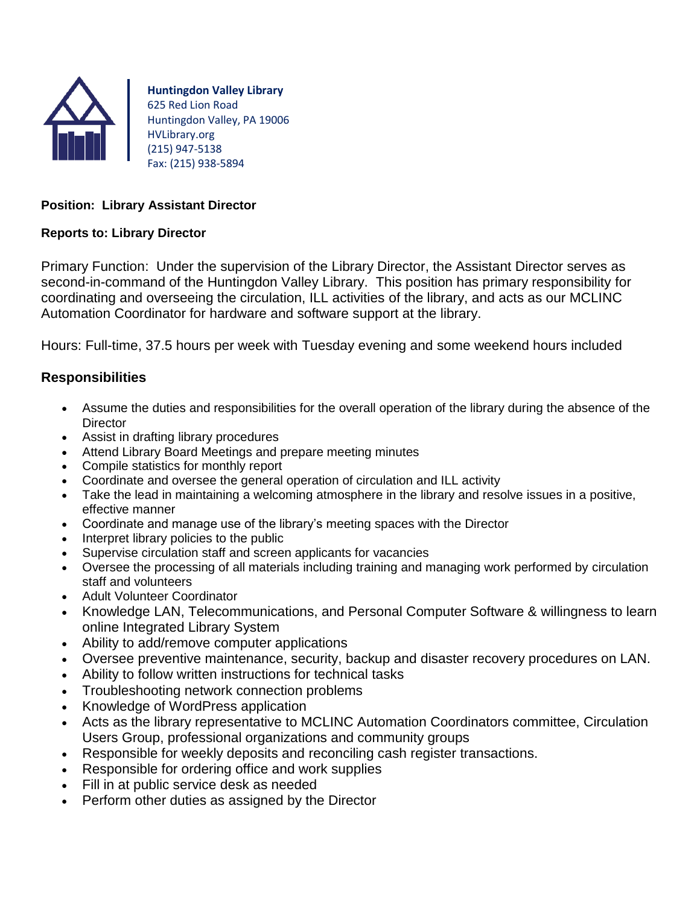

**Huntingdon Valley Library** 625 Red Lion Road Huntingdon Valley, PA 19006 HVLibrary.org (215) 947-5138 Fax: (215) 938-5894

#### **Position: Library Assistant Director**

#### **Reports to: Library Director**

Primary Function: Under the supervision of the Library Director, the Assistant Director serves as second-in-command of the Huntingdon Valley Library. This position has primary responsibility for coordinating and overseeing the circulation, ILL activities of the library, and acts as our MCLINC Automation Coordinator for hardware and software support at the library.

Hours: Full-time, 37.5 hours per week with Tuesday evening and some weekend hours included

### **Responsibilities**

- Assume the duties and responsibilities for the overall operation of the library during the absence of the **Director**
- Assist in drafting library procedures
- Attend Library Board Meetings and prepare meeting minutes
- Compile statistics for monthly report
- Coordinate and oversee the general operation of circulation and ILL activity
- Take the lead in maintaining a welcoming atmosphere in the library and resolve issues in a positive, effective manner
- Coordinate and manage use of the library's meeting spaces with the Director
- Interpret library policies to the public
- Supervise circulation staff and screen applicants for vacancies
- Oversee the processing of all materials including training and managing work performed by circulation staff and volunteers
- Adult Volunteer Coordinator
- Knowledge LAN, Telecommunications, and Personal Computer Software & willingness to learn online Integrated Library System
- Ability to add/remove computer applications
- Oversee preventive maintenance, security, backup and disaster recovery procedures on LAN.
- Ability to follow written instructions for technical tasks
- Troubleshooting network connection problems
- Knowledge of WordPress application
- Acts as the library representative to MCLINC Automation Coordinators committee, Circulation Users Group, professional organizations and community groups
- Responsible for weekly deposits and reconciling cash register transactions.
- Responsible for ordering office and work supplies
- Fill in at public service desk as needed
- Perform other duties as assigned by the Director